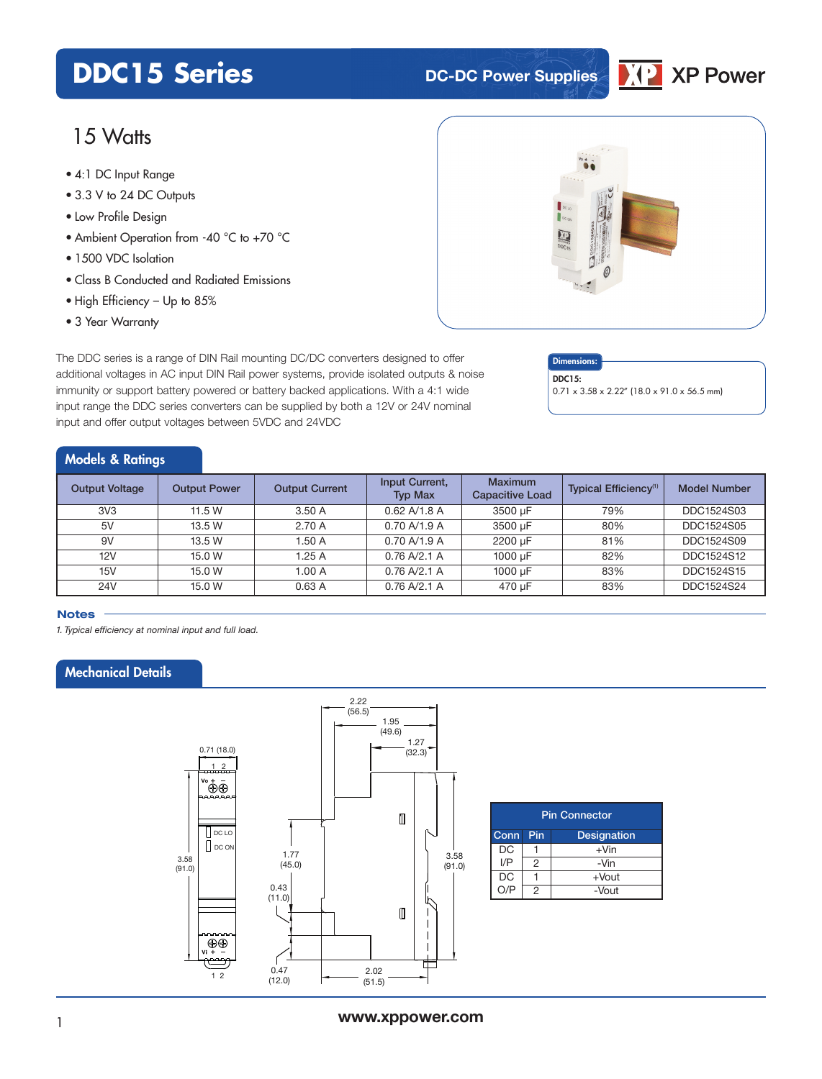## **DDC15 Series DDC15 DC-DC** Power Supplies

## 15 Watts

- **xxx Series** 4:1 DC Input Range
- 3.3 V to 24 DC Outputs
- Low Profile Design
- Ambient Operation from -40 °C to +70 °C
- 1500 VDC Isolation
- Class B Conducted and Radiated Emissions
- High Efficiency Up to 85%
- 3 Year Warranty

The DDC series is a range of DIN Rail mounting DC/DC converters designed to offer additional voltages in AC input DIN Rail power systems, provide isolated outputs & noise immunity or support battery powered or battery backed applications. With a 4:1 wide input range the DDC series converters can be supplied by both a 12V or 24V nominal input and offer output voltages between 5VDC and 24VDC

### **Dimensions:**

DDC15:  $0.71 \times 3.58 \times 2.22''$  (18.0 x 91.0 x 56.5 mm)

### Models & Ratings

| <b>Output Voltage</b> | <b>Output Power</b> | <b>Output Current</b> | Input Current,<br><b>Typ Max</b> | <b>Maximum</b><br><b>Capacitive Load</b> | Typical Efficiency <sup>(1)</sup> | <b>Model Number</b> |
|-----------------------|---------------------|-----------------------|----------------------------------|------------------------------------------|-----------------------------------|---------------------|
| 3V <sub>3</sub>       | 11.5 W              | 3.50 A                | $0.62$ A/1.8 A                   | 3500 µF                                  | 79%                               | DDC1524S03          |
| 5V                    | 13.5 W              | 2.70 A                | $0.70$ A/1.9 A                   | 3500 uF                                  | 80%                               | DDC1524S05          |
| 9V                    | 13.5 W              | 1.50 A                | $0.70$ A/1.9 A                   | 2200 uF                                  | 81%                               | DDC1524S09          |
| 12V                   | 15.0 W              | 1.25 A                | $0.76$ A/2.1 A                   | 1000 uF                                  | 82%                               | DDC1524S12          |
| 15V                   | 15.0 W              | 1.00A                 | 0.76A/2.1A                       | 1000 uF                                  | 83%                               | DDC1524S15          |
| 24V                   | 15.0 W              | 0.63A                 | 0.76A/2.1A                       | 470 µF                                   | 83%                               | DDC1524S24          |

#### **Notes**

*1. Typical efficiency at nominal input and full load.*

### Mechanical Details



| <b>Pin Connector</b> |     |                    |  |  |  |
|----------------------|-----|--------------------|--|--|--|
| Conn                 | Pin | <b>Designation</b> |  |  |  |
| DC                   |     | $+V$ in            |  |  |  |
| I/P                  | 2   | -Vin               |  |  |  |
| DC                   |     | $+$ Vout           |  |  |  |
| O/P                  | 2   | -Vout              |  |  |  |



## <sup>1</sup> **www.xppower.com**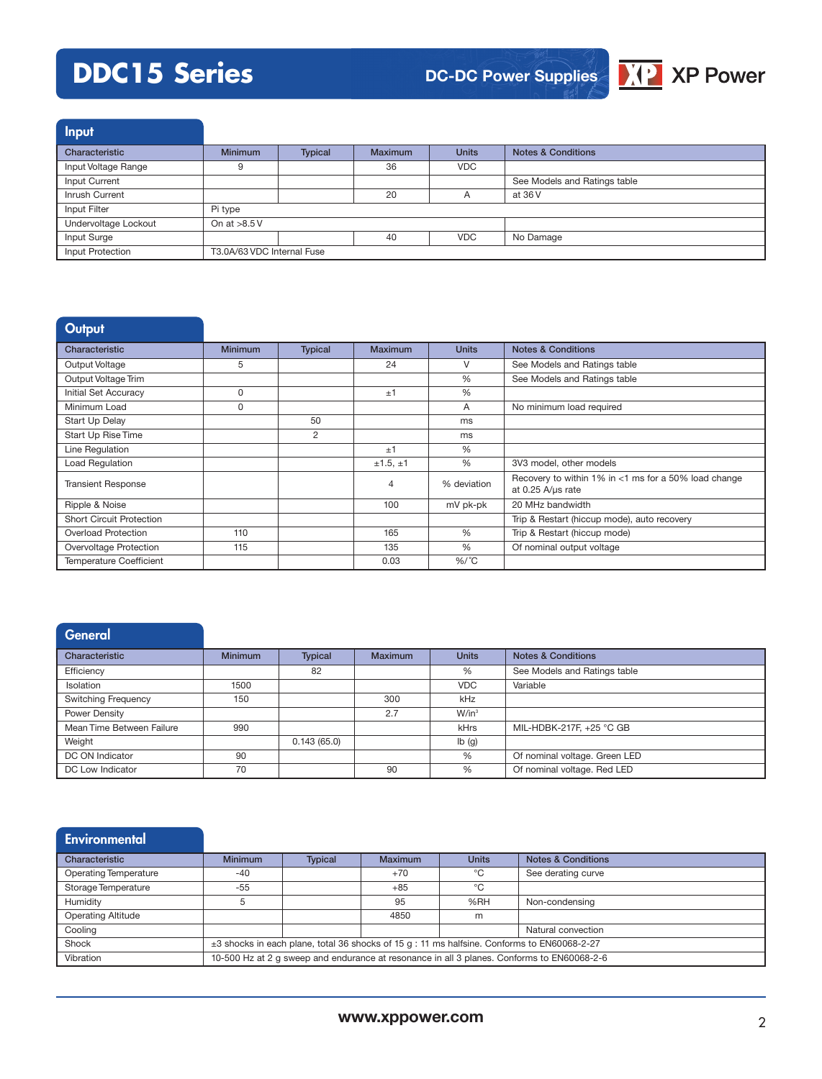## **DDC15 Series**



### Input

| Characteristic       | <b>Minimum</b>             | <b>Typical</b> | Maximum | <b>Units</b> | <b>Notes &amp; Conditions</b> |
|----------------------|----------------------------|----------------|---------|--------------|-------------------------------|
| Input Voltage Range  |                            |                | 36      | <b>VDC</b>   |                               |
| Input Current        |                            |                |         |              | See Models and Ratings table  |
| Inrush Current       |                            |                | 20      |              | at 36 V                       |
| Input Filter         | Pi type                    |                |         |              |                               |
| Undervoltage Lockout | On at $>8.5$ V             |                |         |              |                               |
| Input Surge          |                            |                | 40      | <b>VDC</b>   | No Damage                     |
| Input Protection     | T3.0A/63 VDC Internal Fuse |                |         |              |                               |

#### **Output** Characteristic Minimum Typical Maximum Units Notes & Conditions Output Voltage **5** 24 V See Models and Ratings table Output Voltage Trim **See Models and Ratings table** See Models and Ratings table Initial Set Accuracy **0** 0  $\overline{t}$   $\overline{t}$   $\overline{t}$   $\overline{t}$   $\overline{t}$   $\overline{t}$  % Minimum Load 0 0 0 A No minimum load required Start Up Delay ms 30 ms Start Up Rise Time 2 ms Line Regulation ±1 % Load Regulation  $\pm 1.5, \pm 1$  % 3V3 model, other models Transient Response **1998** Transient Response **1998** Construction Recovery to within 1% in <1 ms for a 50% load change at 0.25  $A$ / $\mu$ s rate Ripple & Noise **100** mV pk-pk 20 MHz bandwidth Short Circuit Protection **Trip & Restart (hiccup mode), auto recovery** Overload Protection 110 165 % Trip & Restart (hiccup mode) Overvoltage Protection 115 135 % Of nominal output voltage Temperature Coefficient **12 and 12 and 13 and 13 and 13 and 14 and 14 and 14 and 15 and 16 and 16 and 16 and 16 and 16 and 16 and 16 and 16 and 16 and 16 and 16 and 16 and 16 and 16 and 16 and 16 and 16 and 16 and 16 and 1**

### **General**

| Characteristic             | <b>Minimum</b> | <b>Typical</b> | <b>Maximum</b> | <b>Units</b>  | <b>Notes &amp; Conditions</b> |
|----------------------------|----------------|----------------|----------------|---------------|-------------------------------|
| Efficiency                 |                | 82             |                | %             | See Models and Ratings table  |
| Isolation                  | 1500           |                |                | <b>VDC</b>    | Variable                      |
| <b>Switching Frequency</b> | 150            |                | 300            | kHz           |                               |
| Power Density              |                |                | 2.7            | $W/in^3$      |                               |
| Mean Time Between Failure  | 990            |                |                | kHrs          | MIL-HDBK-217F, +25 °C GB      |
| Weight                     |                | 0.143(65.0)    |                | Ib(g)         |                               |
| DC ON Indicator            | 90             |                |                | %             | Of nominal voltage. Green LED |
| DC Low Indicator           | 70             |                | 90             | $\frac{0}{0}$ | Of nominal voltage. Red LED   |

## **Environmental**

| Characteristic               | <b>Minimum</b>                                                                                   | <b>Typical</b> | Maximum | <b>Units</b> | <b>Notes &amp; Conditions</b> |
|------------------------------|--------------------------------------------------------------------------------------------------|----------------|---------|--------------|-------------------------------|
| <b>Operating Temperature</b> | $-40$                                                                                            |                | $+70$   | °C           | See derating curve            |
| Storage Temperature          | $-55$                                                                                            |                | $+85$   | °C           |                               |
| Humidity                     |                                                                                                  |                | 95      | %RH          | Non-condensing                |
| <b>Operating Altitude</b>    |                                                                                                  |                | 4850    | m            |                               |
| Cooling                      | Natural convection                                                                               |                |         |              |                               |
| Shock                        | $\pm 3$ shocks in each plane, total 36 shocks of 15 q : 11 ms halfsine. Conforms to EN60068-2-27 |                |         |              |                               |
| Vibration                    | 10-500 Hz at 2 g sweep and endurance at resonance in all 3 planes. Conforms to EN60068-2-6       |                |         |              |                               |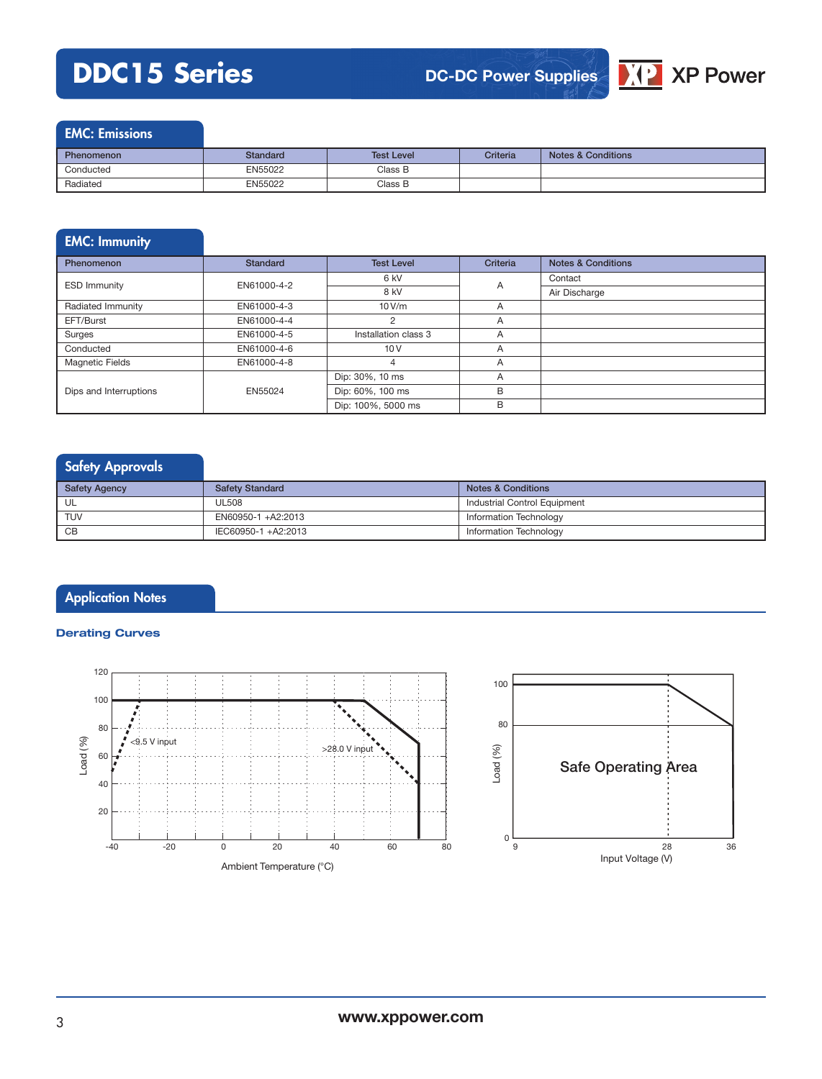# **DDC15 Series**



## EMC: Emissions

| Phenomenon | Standard | <b>Test Level</b> | Criteria | <b>Notes &amp; Conditions</b> |
|------------|----------|-------------------|----------|-------------------------------|
| Conducted  | EN55022  | Class B           |          |                               |
| Radiated   | EN55022  | Class B           |          |                               |

## EMC: Immunity

| Phenomenon             | <b>Standard</b> | <b>Test Level</b>    | Criteria | <b>Notes &amp; Conditions</b> |
|------------------------|-----------------|----------------------|----------|-------------------------------|
| <b>ESD Immunity</b>    | EN61000-4-2     | 6 kV                 | A        | Contact                       |
|                        |                 | 8 kV                 |          | Air Discharge                 |
| Radiated Immunity      | EN61000-4-3     | 10 V/m               | A        |                               |
| EFT/Burst              | EN61000-4-4     | 2                    | A        |                               |
| Surges                 | EN61000-4-5     | Installation class 3 | A        |                               |
| Conducted              | EN61000-4-6     | 10V                  | A        |                               |
| <b>Magnetic Fields</b> | EN61000-4-8     |                      | A        |                               |
|                        |                 | Dip: 30%, 10 ms      | A        |                               |
| Dips and Interruptions | EN55024         | Dip: 60%, 100 ms     | B        |                               |
|                        |                 | Dip: 100%, 5000 ms   | B        |                               |

## **Safety Approvals**

| <b>Safety Agency</b> | <b>Safety Standard</b> | <b>Notes &amp; Conditions</b> |
|----------------------|------------------------|-------------------------------|
| UL                   | UL508                  | Industrial Control Equipment  |
| <b>TUV</b>           | EN60950-1 +A2:2013     | Information Technology        |
| CB                   | IEC60950-1 +A2:2013    | Information Technology        |

## **Application Notes**

#### **Derating Curves**